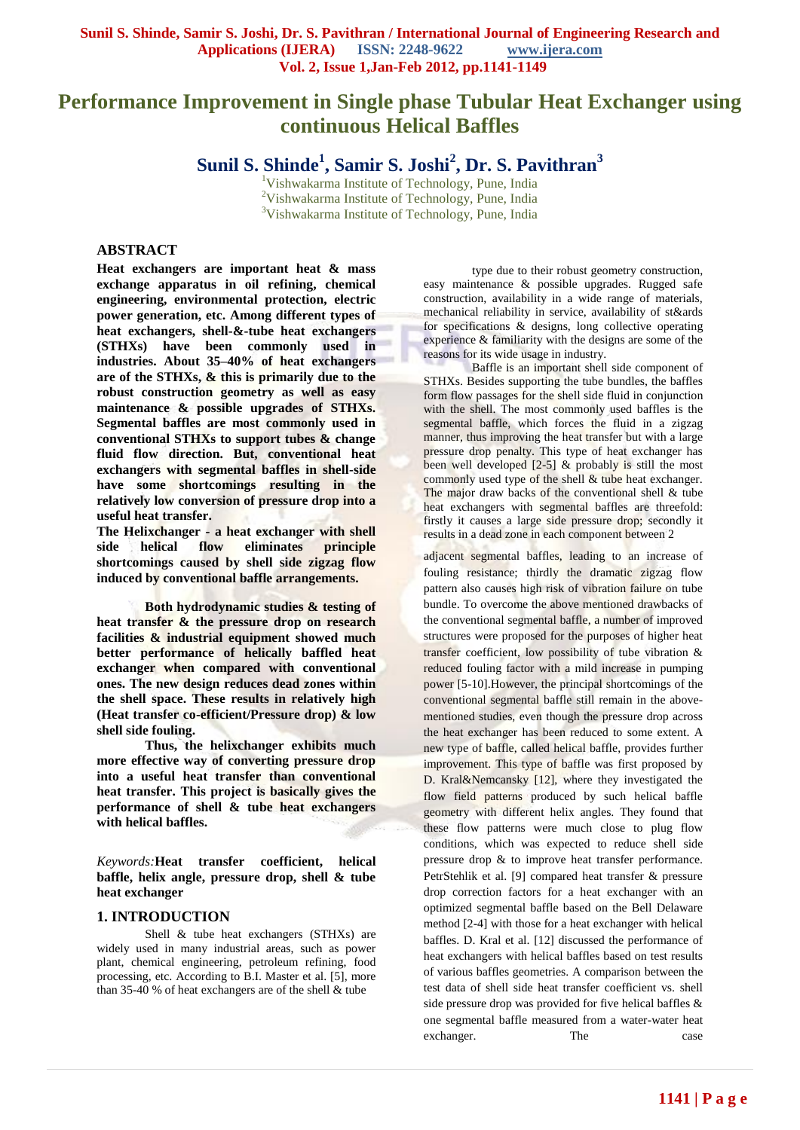# **Performance Improvement in Single phase Tubular Heat Exchanger using continuous Helical Baffles**

**Sunil S. Shinde<sup>1</sup> , Samir S. Joshi<sup>2</sup> , Dr. S. Pavithran<sup>3</sup>**

<sup>1</sup>Vishwakarma Institute of Technology, Pune, India <sup>2</sup>Vishwakarma Institute of Technology, Pune, India <sup>3</sup>Vishwakarma Institute of Technology, Pune, India

# **ABSTRACT**

**Heat exchangers are important heat & mass exchange apparatus in oil refining, chemical engineering, environmental protection, electric power generation, etc. Among different types of heat exchangers, shell-&-tube heat exchangers (STHXs) have been commonly used in industries. About 35–40% of heat exchangers are of the STHXs, & this is primarily due to the robust construction geometry as well as easy maintenance & possible upgrades of STHXs. Segmental baffles are most commonly used in conventional STHXs to support tubes & change fluid flow direction. But, conventional heat exchangers with segmental baffles in shell-side have some shortcomings resulting in the relatively low conversion of pressure drop into a useful heat transfer.**

**The Helixchanger - a heat exchanger with shell side helical flow eliminates principle shortcomings caused by shell side zigzag flow induced by conventional baffle arrangements.**

**Both hydrodynamic studies & testing of heat transfer & the pressure drop on research facilities & industrial equipment showed much better performance of helically baffled heat exchanger when compared with conventional ones. The new design reduces dead zones within the shell space. These results in relatively high (Heat transfer co-efficient/Pressure drop) & low shell side fouling.** 

**Thus, the helixchanger exhibits much more effective way of converting pressure drop into a useful heat transfer than conventional heat transfer. This project is basically gives the performance of shell & tube heat exchangers with helical baffles.**

*Keywords:***Heat transfer coefficient, helical baffle, helix angle, pressure drop, shell & tube heat exchanger**

# **1. INTRODUCTION**

Shell & tube heat exchangers (STHXs) are widely used in many industrial areas, such as power plant, chemical engineering, petroleum refining, food processing, etc. According to B.I. Master et al. [5], more than 35-40 % of heat exchangers are of the shell & tube

type due to their robust geometry construction, easy maintenance & possible upgrades. Rugged safe construction, availability in a wide range of materials, mechanical reliability in service, availability of st&ards for specifications & designs, long collective operating experience & familiarity with the designs are some of the reasons for its wide usage in industry.

Baffle is an important shell side component of STHXs. Besides supporting the tube bundles, the baffles form flow passages for the shell side fluid in conjunction with the shell. The most commonly used baffles is the segmental baffle, which forces the fluid in a zigzag manner, thus improving the heat transfer but with a large pressure drop penalty. This type of heat exchanger has been well developed  $[2-5]$  & probably is still the most commonly used type of the shell  $&$  tube heat exchanger. The major draw backs of the conventional shell & tube heat exchangers with segmental baffles are threefold: firstly it causes a large side pressure drop; secondly it results in a dead zone in each component between 2

adjacent segmental baffles, leading to an increase of fouling resistance; thirdly the dramatic zigzag flow pattern also causes high risk of vibration failure on tube bundle. To overcome the above mentioned drawbacks of the conventional segmental baffle, a number of improved structures were proposed for the purposes of higher heat transfer coefficient, low possibility of tube vibration & reduced fouling factor with a mild increase in pumping power [5-10].However, the principal shortcomings of the conventional segmental baffle still remain in the abovementioned studies, even though the pressure drop across the heat exchanger has been reduced to some extent. A new type of baffle, called helical baffle, provides further improvement. This type of baffle was first proposed by D. Kral&Nemcansky [12], where they investigated the flow field patterns produced by such helical baffle geometry with different helix angles. They found that these flow patterns were much close to plug flow conditions, which was expected to reduce shell side pressure drop & to improve heat transfer performance. PetrStehlik et al. [9] compared heat transfer & pressure drop correction factors for a heat exchanger with an optimized segmental baffle based on the Bell Delaware method [2-4] with those for a heat exchanger with helical baffles. D. Kral et al. [12] discussed the performance of heat exchangers with helical baffles based on test results of various baffles geometries. A comparison between the test data of shell side heat transfer coefficient vs. shell side pressure drop was provided for five helical baffles & one segmental baffle measured from a water-water heat exchanger. The case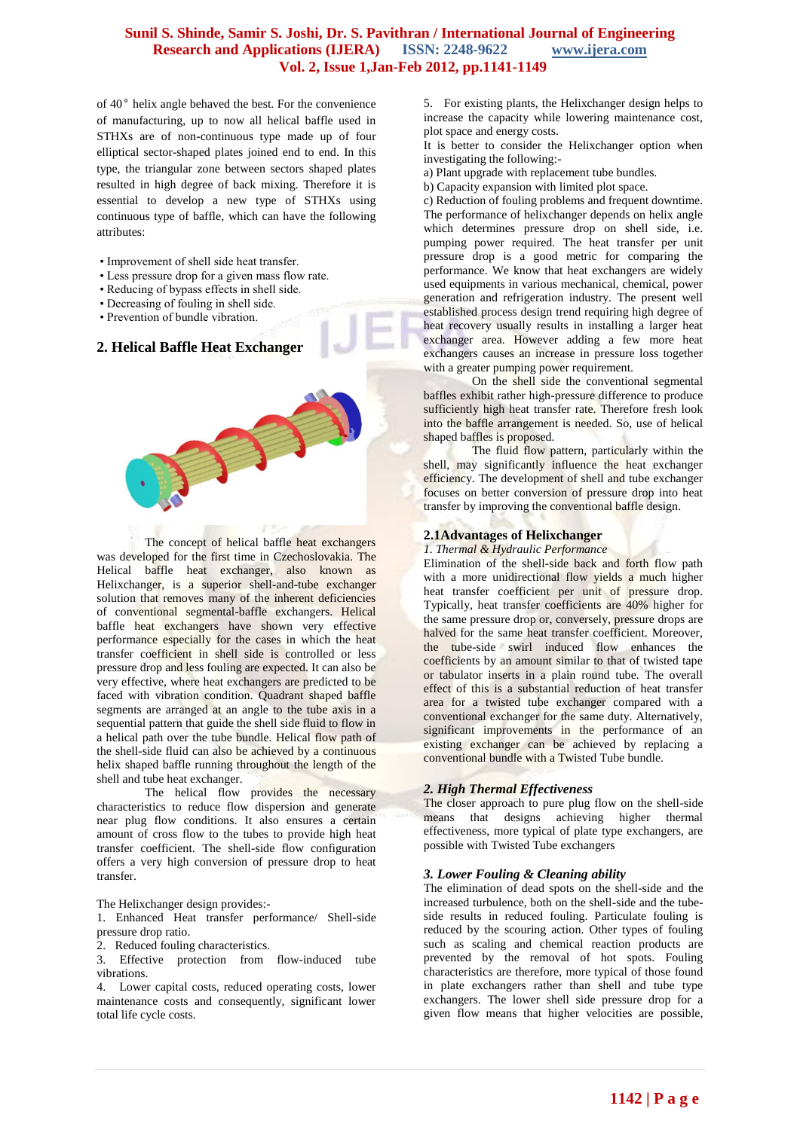of 40° helix angle behaved the best. For the convenience of manufacturing, up to now all helical baffle used in STHXs are of non-continuous type made up of four elliptical sector-shaped plates joined end to end. In this type, the triangular zone between sectors shaped plates resulted in high degree of back mixing. Therefore it is essential to develop a new type of STHXs using continuous type of baffle, which can have the following attributes:

- Improvement of shell side heat transfer.
- Less pressure drop for a given mass flow rate.
- Reducing of bypass effects in shell side.
- Decreasing of fouling in shell side.
- Prevention of bundle vibration.

# **2. Helical Baffle Heat Exchanger**



The concept of helical baffle heat exchangers was developed for the first time in Czechoslovakia. The Helical baffle heat exchanger, also known as Helixchanger, is a superior shell-and-tube exchanger solution that removes many of the inherent deficiencies of conventional segmental-baffle exchangers. Helical baffle heat exchangers have shown very effective performance especially for the cases in which the heat transfer coefficient in shell side is controlled or less pressure drop and less fouling are expected. It can also be very effective, where heat exchangers are predicted to be faced with vibration condition. Quadrant shaped baffle segments are arranged at an angle to the tube axis in a sequential pattern that guide the shell side fluid to flow in a helical path over the tube bundle. Helical flow path of the shell-side fluid can also be achieved by a continuous helix shaped baffle running throughout the length of the shell and tube heat exchanger.

The helical flow provides the necessary characteristics to reduce flow dispersion and generate near plug flow conditions. It also ensures a certain amount of cross flow to the tubes to provide high heat transfer coefficient. The shell-side flow configuration offers a very high conversion of pressure drop to heat transfer.

#### The Helixchanger design provides:-

1. Enhanced Heat transfer performance/ Shell-side pressure drop ratio.

2. Reduced fouling characteristics.

3. Effective protection from flow-induced tube vibrations.

4. Lower capital costs, reduced operating costs, lower maintenance costs and consequently, significant lower total life cycle costs.

5. For existing plants, the Helixchanger design helps to increase the capacity while lowering maintenance cost, plot space and energy costs.

It is better to consider the Helixchanger option when investigating the following:-

a) Plant upgrade with replacement tube bundles.

b) Capacity expansion with limited plot space.

c) Reduction of fouling problems and frequent downtime. The performance of helixchanger depends on helix angle which determines pressure drop on shell side, i.e. pumping power required. The heat transfer per unit pressure drop is a good metric for comparing the performance. We know that heat exchangers are widely used equipments in various mechanical, chemical, power generation and refrigeration industry. The present well established process design trend requiring high degree of heat recovery usually results in installing a larger heat exchanger area. However adding a few more heat exchangers causes an increase in pressure loss together with a greater pumping power requirement.

On the shell side the conventional segmental baffles exhibit rather high-pressure difference to produce sufficiently high heat transfer rate. Therefore fresh look into the baffle arrangement is needed. So, use of helical shaped baffles is proposed.

The fluid flow pattern, particularly within the shell, may significantly influence the heat exchanger efficiency. The development of shell and tube exchanger focuses on better conversion of pressure drop into heat transfer by improving the conventional baffle design.

#### **2.1Advantages of Helixchanger**

#### *1. Thermal & Hydraulic Performance*

Elimination of the shell-side back and forth flow path with a more unidirectional flow yields a much higher heat transfer coefficient per unit of pressure drop. Typically, heat transfer coefficients are 40% higher for the same pressure drop or, conversely, pressure drops are halved for the same heat transfer coefficient. Moreover, the tube-side swirl induced flow enhances the coefficients by an amount similar to that of twisted tape or tabulator inserts in a plain round tube. The overall effect of this is a substantial reduction of heat transfer area for a twisted tube exchanger compared with a conventional exchanger for the same duty. Alternatively, significant improvements in the performance of an existing exchanger can be achieved by replacing a conventional bundle with a Twisted Tube bundle.

#### *2. High Thermal Effectiveness*

The closer approach to pure plug flow on the shell-side means that designs achieving higher thermal effectiveness, more typical of plate type exchangers, are possible with Twisted Tube exchangers

#### *3. Lower Fouling & Cleaning ability*

The elimination of dead spots on the shell-side and the increased turbulence, both on the shell-side and the tubeside results in reduced fouling. Particulate fouling is reduced by the scouring action. Other types of fouling such as scaling and chemical reaction products are prevented by the removal of hot spots. Fouling characteristics are therefore, more typical of those found in plate exchangers rather than shell and tube type exchangers. The lower shell side pressure drop for a given flow means that higher velocities are possible,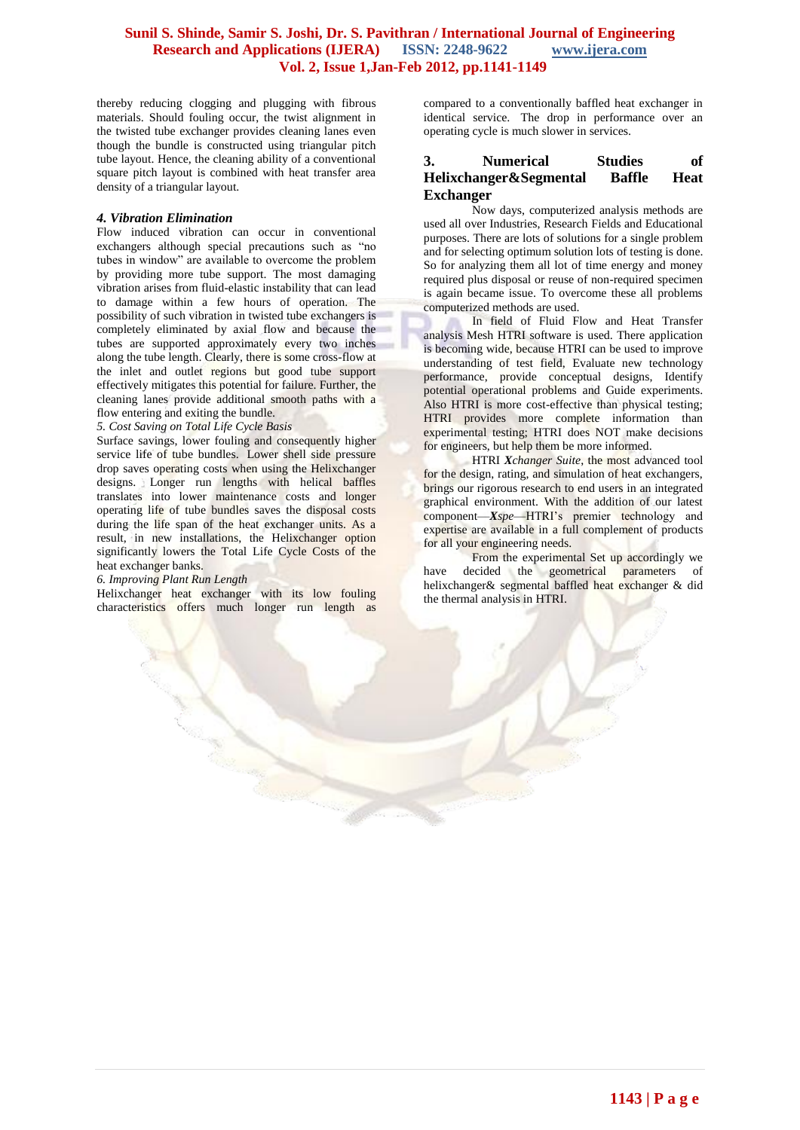thereby reducing clogging and plugging with fibrous materials. Should fouling occur, the twist alignment in the twisted tube exchanger provides cleaning lanes even though the bundle is constructed using triangular pitch tube layout. Hence, the cleaning ability of a conventional square pitch layout is combined with heat transfer area density of a triangular layout.

#### *4. Vibration Elimination*

Flow induced vibration can occur in conventional exchangers although special precautions such as "no tubes in window" are available to overcome the problem by providing more tube support. The most damaging vibration arises from fluid-elastic instability that can lead to damage within a few hours of operation. The possibility of such vibration in twisted tube exchangers is completely eliminated by axial flow and because the tubes are supported approximately every two inches along the tube length. Clearly, there is some cross-flow at the inlet and outlet regions but good tube support effectively mitigates this potential for failure. Further, the cleaning lanes provide additional smooth paths with a flow entering and exiting the bundle.

*5. Cost Saving on Total Life Cycle Basis*

Surface savings, lower fouling and consequently higher service life of tube bundles. Lower shell side pressure drop saves operating costs when using the Helixchanger designs. Longer run lengths with helical baffles translates into lower maintenance costs and longer operating life of tube bundles saves the disposal costs during the life span of the heat exchanger units. As a result, in new installations, the Helixchanger option significantly lowers the Total Life Cycle Costs of the heat exchanger banks.

#### *6. Improving Plant Run Length*

Helixchanger heat exchanger with its low fouling characteristics offers much longer run length as compared to a conventionally baffled heat exchanger in identical service. The drop in performance over an operating cycle is much slower in services.

### **3. Numerical Studies of Helixchanger&Segmental Baffle Heat Exchanger**

Now days, computerized analysis methods are used all over Industries, Research Fields and Educational purposes. There are lots of solutions for a single problem and for selecting optimum solution lots of testing is done. So for analyzing them all lot of time energy and money required plus disposal or reuse of non-required specimen is again became issue. To overcome these all problems computerized methods are used.

 In field of Fluid Flow and Heat Transfer analysis Mesh HTRI software is used. There application is becoming wide, because HTRI can be used to improve understanding of test field, Evaluate new technology performance, provide conceptual designs, Identify potential operational problems and Guide experiments. Also HTRI is more cost-effective than physical testing; HTRI provides more complete information than experimental testing; HTRI does NOT make decisions for engineers, but help them be more informed.

HTRI *Xchanger Suite*, the most advanced tool for the design, rating, and simulation of heat exchangers, brings our rigorous research to end users in an integrated graphical environment. With the addition of our latest component—*Xspe*—HTRI's premier technology and expertise are available in a full complement of products for all your engineering needs.

From the experimental Set up accordingly we have decided the geometrical parameters of helixchanger& segmental baffled heat exchanger & did the thermal analysis in HTRI.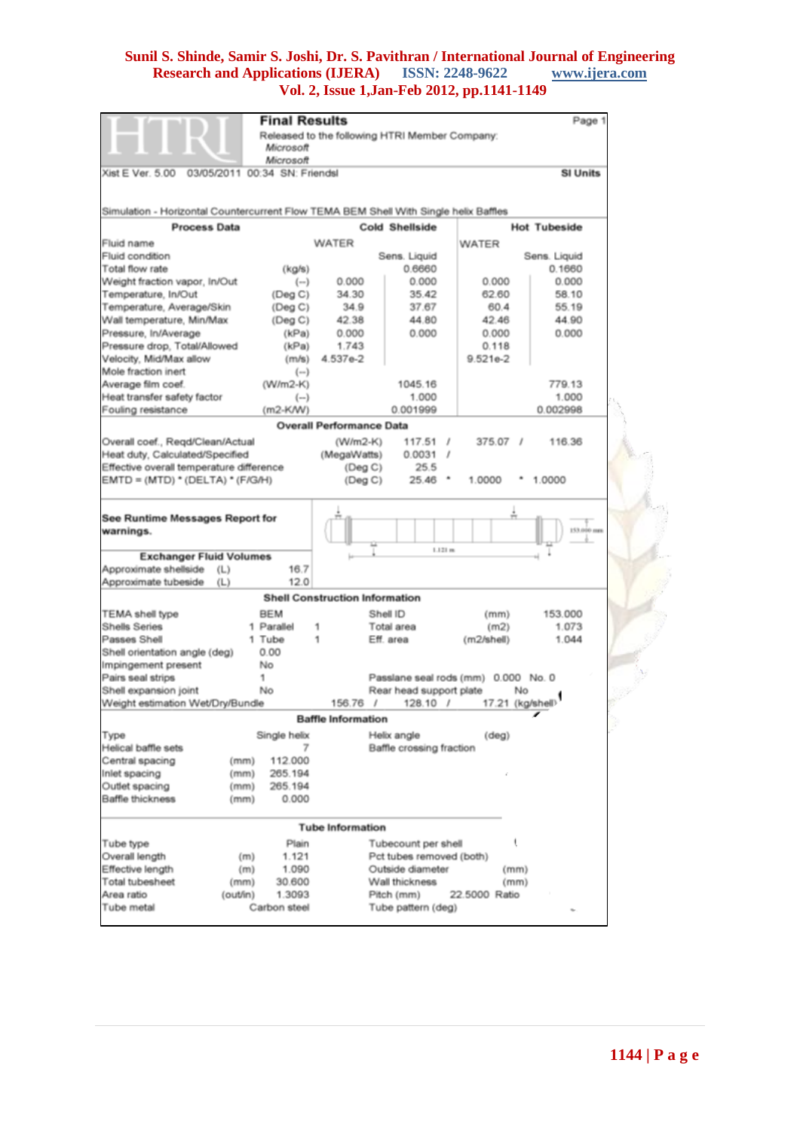|                                                                                      |          | <b>Final Results</b>                  |                                                    |             |                                                |                        |    | Page 1                 |  |
|--------------------------------------------------------------------------------------|----------|---------------------------------------|----------------------------------------------------|-------------|------------------------------------------------|------------------------|----|------------------------|--|
|                                                                                      |          |                                       |                                                    |             | Released to the following HTRI Member Company: |                        |    |                        |  |
|                                                                                      |          | Microsoft                             |                                                    |             |                                                |                        |    |                        |  |
|                                                                                      |          | Microsoft                             |                                                    |             |                                                |                        |    |                        |  |
| Xist E Ver. 5.00                                                                     |          | 03/05/2011 00:34 SN: Friendsl         |                                                    |             |                                                |                        |    | <b>SI Units</b>        |  |
| Simulation - Horizontal Countercurrent Flow TEMA BEM Shell With Single helix Baffles |          |                                       |                                                    |             |                                                |                        |    |                        |  |
| <b>Process Data</b>                                                                  |          |                                       |                                                    |             | <b>Cold Shellside</b>                          |                        |    | <b>Hot Tubeside</b>    |  |
|                                                                                      |          |                                       |                                                    |             |                                                |                        |    |                        |  |
| Fluid name                                                                           |          |                                       | <b>WATER</b>                                       |             |                                                | WATER                  |    |                        |  |
| Fluid condition<br>Total flow rate                                                   |          |                                       |                                                    |             | Sens. Liquid<br>0.6660                         |                        |    | Sens. Liquid<br>0.1660 |  |
| Weight fraction vapor, In/Out                                                        |          | (kg/s)<br>$(-)$                       |                                                    | 0.000       | 0.000                                          | 0.000                  |    | 0.000                  |  |
| Temperature, In/Out                                                                  |          | (Deg C)                               |                                                    | 34.30       | 35.42                                          | 62.60                  |    | 58.10                  |  |
| Temperature, Average/Skin                                                            |          | (Deg C)                               |                                                    | 34.9        | 37.67                                          | 60.4                   |    | 55.19                  |  |
| Wall temperature, Min/Max                                                            |          | (Deg C)                               |                                                    | 42.38       | 44.80                                          | 42.46                  |    | 44.90                  |  |
| Pressure, In/Average                                                                 |          | (kPa)                                 |                                                    | 0.000       | 0.000                                          | 0.000                  |    | 0.000                  |  |
| Pressure drop, Total/Allowed                                                         |          | (kPa)                                 |                                                    | 1.743       |                                                | 0.118                  |    |                        |  |
| Velocity, Mid/Max allow                                                              |          | (m/s)                                 | 4.537e-2                                           |             |                                                | $9.521e-2$             |    |                        |  |
| Mole fraction inert                                                                  |          | $(\neg$ )                             |                                                    |             |                                                |                        |    |                        |  |
|                                                                                      |          | (W/m2-K)                              |                                                    |             | 1045.16                                        |                        |    | 779.13                 |  |
| Average film coef.<br>Heat transfer safety factor                                    |          | $(-)$                                 |                                                    |             | 1.000                                          |                        |    | 1.000                  |  |
| Fouling resistance                                                                   |          | $(m2-K/W)$                            |                                                    |             | 0.001999                                       |                        |    | 0.002998               |  |
|                                                                                      |          | <b>Overall Performance Data</b>       |                                                    |             |                                                |                        |    |                        |  |
|                                                                                      |          |                                       |                                                    |             |                                                |                        |    |                        |  |
| Overall coef., Regd/Clean/Actual                                                     |          |                                       |                                                    | $(W/m2-K)$  | 117.51                                         | $\prime$<br>$375.07$ / |    | 116.36                 |  |
| Heat duty, Calculated/Specified                                                      |          |                                       |                                                    | (MegaWatts) | 0.0031 /                                       |                        |    |                        |  |
| Effective overall temperature difference<br>$EMTD = (MTD) * (DELTA) * (F/G/H)$       |          |                                       |                                                    | (Deg C)     | 25.5<br>25.46                                  | ٠<br>1.0000            |    | 1.0000                 |  |
|                                                                                      |          |                                       |                                                    | (Deg C)     |                                                |                        |    |                        |  |
|                                                                                      |          |                                       |                                                    |             |                                                |                        |    |                        |  |
| See Runtime Messages Report for<br>warnings.                                         |          |                                       |                                                    |             |                                                |                        |    | 153,000 mm             |  |
|                                                                                      |          |                                       |                                                    |             | 1.121 m                                        |                        |    |                        |  |
| <b>Exchanger Fluid Volumes</b>                                                       |          |                                       |                                                    |             |                                                |                        |    |                        |  |
| Approximate shellside                                                                | (L)      | 16.7                                  |                                                    |             |                                                |                        |    |                        |  |
| Approximate tubeside                                                                 | (L)      | 12.0                                  |                                                    |             |                                                |                        |    |                        |  |
|                                                                                      |          | <b>Shell Construction Information</b> |                                                    |             |                                                |                        |    |                        |  |
| <b>TEMA</b> shell type                                                               |          | <b>BEM</b>                            |                                                    |             | Shell ID                                       | (mm)                   |    | 153.000                |  |
| <b>Shells Series</b>                                                                 |          | 1 Parallel                            | 1                                                  |             | Total area                                     | (m2)                   |    | 1.073                  |  |
| Passes Shell                                                                         |          | 1 Tube                                | 1                                                  |             | Eff. area                                      | (m2/shell)             |    | 1.044                  |  |
| Shell orientation angle (deg)                                                        |          | 0.00                                  |                                                    |             |                                                |                        |    |                        |  |
| Impingement present                                                                  |          | No                                    |                                                    |             |                                                |                        |    |                        |  |
| Pairs seal strips                                                                    |          | 1                                     |                                                    |             | Passlane seal rods (mm) 0.000 No. 0            |                        |    |                        |  |
| Shell expansion joint                                                                |          | No                                    |                                                    |             | Rear head support plate                        |                        | No |                        |  |
| Weight estimation Wet/Dry/Bundle                                                     |          |                                       |                                                    | 156.76 /    | 128.10 /                                       |                        |    | 17.21 (kg/shell)       |  |
|                                                                                      |          |                                       | <b>Baffle Information</b>                          |             |                                                |                        |    |                        |  |
| Type                                                                                 |          | Single helix                          |                                                    |             | Helix angle                                    | (deq)                  |    |                        |  |
| Helical baffle sets                                                                  |          | 7                                     |                                                    |             | Baffle crossing fraction                       |                        |    |                        |  |
| Central spacing                                                                      | (mm)     | 112.000                               |                                                    |             |                                                |                        |    |                        |  |
| Inlet spacing                                                                        | (mm)     | 265.194                               |                                                    |             |                                                |                        |    |                        |  |
| Outlet spacing                                                                       | (mm)     | 265.194                               |                                                    |             |                                                |                        |    |                        |  |
| Baffle thickness                                                                     | (mm)     | 0.000                                 |                                                    |             |                                                |                        |    |                        |  |
| <b>Tube Information</b>                                                              |          |                                       |                                                    |             |                                                |                        |    |                        |  |
| Tube type                                                                            |          | Plain                                 |                                                    |             | Tubecount per shell                            |                        | t  |                        |  |
| Overall length                                                                       | (m)      | 1.121                                 |                                                    |             | Pct tubes removed (both)                       |                        |    |                        |  |
| Effective length                                                                     | (m)      | 1.090                                 |                                                    |             |                                                |                        |    |                        |  |
| Total tubesheet                                                                      | (mm)     | 30.600                                | Outside diameter<br>(mm)<br>Wall thickness<br>(mm) |             |                                                |                        |    |                        |  |
| Area ratio                                                                           | (out/in) | 1.3093                                | Pitch (mm)<br>22.5000 Ratio                        |             |                                                |                        |    |                        |  |
| Tube metal                                                                           |          | Carbon steel                          |                                                    |             | Tube pattern (deg)                             |                        |    |                        |  |
|                                                                                      |          |                                       |                                                    |             |                                                |                        |    |                        |  |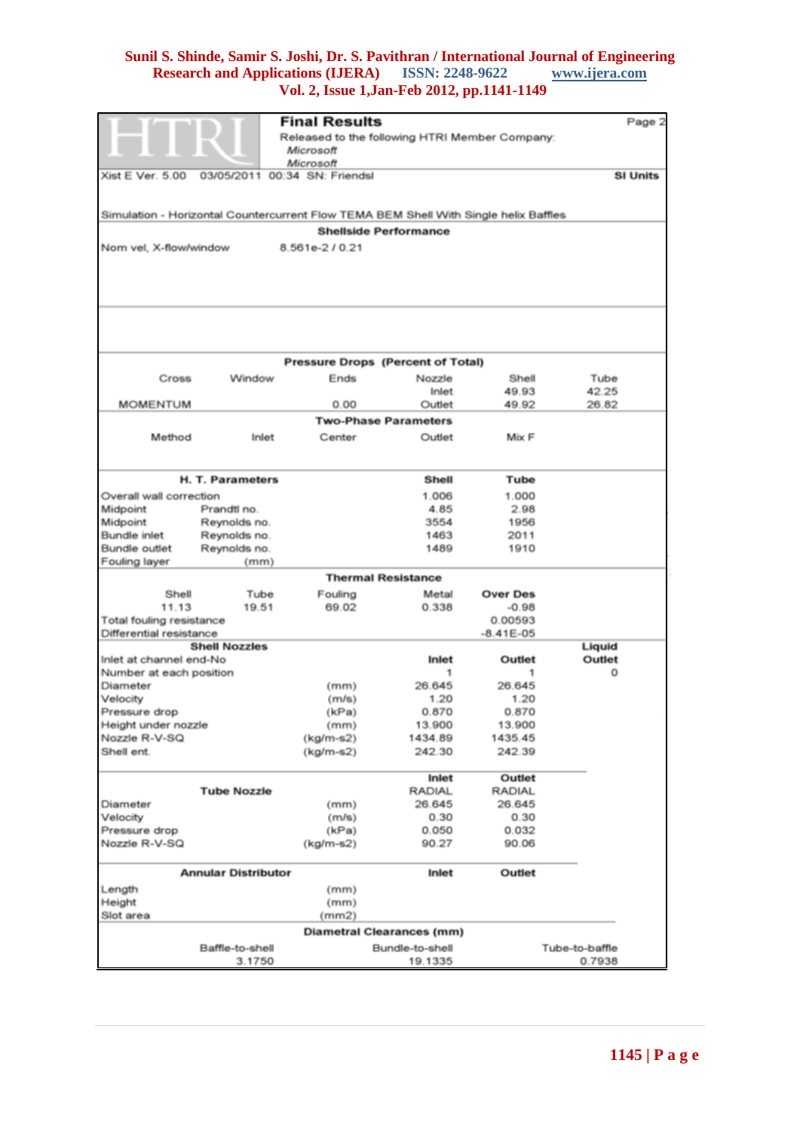|                                                     |                      | <b>Final Results</b>                                                                 |                                  |                    | Page 2         |  |
|-----------------------------------------------------|----------------------|--------------------------------------------------------------------------------------|----------------------------------|--------------------|----------------|--|
| Released to the following HTRI Member Company:      |                      |                                                                                      |                                  |                    |                |  |
|                                                     |                      | Microsoft                                                                            |                                  |                    |                |  |
|                                                     | 03/05/2011           | Microsoft<br>00:34 SN: Friendsl                                                      |                                  |                    |                |  |
| Xist E Ver. 5.00                                    | <b>SI Units</b>      |                                                                                      |                                  |                    |                |  |
|                                                     |                      |                                                                                      |                                  |                    |                |  |
|                                                     |                      | Simulation - Horizontal Countercurrent Flow TEMA BEM Shell With Single helix Baffles |                                  |                    |                |  |
|                                                     |                      |                                                                                      | <b>Shellside Performance</b>     |                    |                |  |
| Nom vel, X-flow/window                              |                      | 8.561e-2/0.21                                                                        |                                  |                    |                |  |
|                                                     |                      |                                                                                      |                                  |                    |                |  |
|                                                     |                      |                                                                                      |                                  |                    |                |  |
|                                                     |                      |                                                                                      |                                  |                    |                |  |
|                                                     |                      |                                                                                      |                                  |                    |                |  |
|                                                     |                      |                                                                                      |                                  |                    |                |  |
|                                                     |                      |                                                                                      |                                  |                    |                |  |
|                                                     |                      | Pressure Drops (Percent of Total)                                                    |                                  |                    |                |  |
| Cross                                               | Window               | Ends                                                                                 | Nozzle                           | Shell              | Tube           |  |
|                                                     |                      |                                                                                      | Inlet                            | 49.93              | 42.25          |  |
| <b>MOMENTUM</b>                                     |                      | 0.00                                                                                 | Outlet                           | 49.92              | 26.82          |  |
|                                                     |                      |                                                                                      | <b>Two-Phase Parameters</b>      |                    |                |  |
| Method                                              | Inlet                | Center                                                                               | Outlet                           | Mix F              |                |  |
|                                                     |                      |                                                                                      |                                  |                    |                |  |
|                                                     | H. T. Parameters     |                                                                                      | Shell                            | Tube               |                |  |
| Overall wall correction                             |                      |                                                                                      | 1.006                            | 1.000              |                |  |
| Midpoint                                            | Prandtl no.          |                                                                                      | 4.85                             | 2.98               |                |  |
| Midpoint                                            | Reynolds no.         |                                                                                      | 3554                             | 1956               |                |  |
| Bundle inlet                                        | Reynolds no.         |                                                                                      | 1463                             | 2011               |                |  |
| Bundle outlet                                       | Reynolds no.         |                                                                                      | 1489                             | 1910               |                |  |
| Fouling layer                                       | (mm)                 |                                                                                      |                                  |                    |                |  |
|                                                     |                      |                                                                                      | <b>Thermal Resistance</b>        |                    |                |  |
| Shell                                               | Tube                 | Fouling                                                                              | Metal                            | <b>Over Des</b>    |                |  |
| 11.13                                               | 19.51                | 69.02                                                                                | 0.338                            | $-0.98$<br>0.00593 |                |  |
| Total fouling resistance<br>Differential resistance |                      |                                                                                      |                                  |                    |                |  |
|                                                     | <b>Shell Nozzles</b> |                                                                                      |                                  | $-8.41E-05$        | Liquid         |  |
| Inlet at channel end-No                             |                      |                                                                                      | Inlet                            | Outlet             | Outlet         |  |
| Number at each position                             |                      |                                                                                      | 1                                | 1                  | 0              |  |
| Diameter                                            |                      | (mm)                                                                                 | 26.645                           | 26.645             |                |  |
| Velocity                                            |                      | (m/s)                                                                                | 1.20                             | 1.20               |                |  |
| Pressure drop                                       |                      | (kPa)                                                                                | 0.870                            | 0.870              |                |  |
| Height under nozzle                                 |                      | (mm)                                                                                 | 13.900                           | 13.900             |                |  |
| Nozzle R-V-SQ                                       |                      | (kg/m-s2)                                                                            | 1434.89                          | 1435.45            |                |  |
| Shell ent.<br>$(kg/m-s2)$<br>242.39<br>242.30       |                      |                                                                                      |                                  |                    |                |  |
|                                                     |                      |                                                                                      | Inlet                            | Outlet             |                |  |
|                                                     | <b>Tube Nozzle</b>   |                                                                                      | <b>RADIAL</b>                    | <b>RADIAL</b>      |                |  |
| Diameter                                            |                      | (mm)                                                                                 | 26.645                           | 26.645             |                |  |
| Velocity                                            |                      | (m/s)                                                                                | 0.30                             | 0.30               |                |  |
| Pressure drop                                       |                      | (kPa)                                                                                | 0.050                            | 0.032              |                |  |
| Nozzle R-V-SQ<br>90.06<br>$(kg/m-s2)$<br>90.27      |                      |                                                                                      |                                  |                    |                |  |
| <b>Annular Distributor</b><br>Inlet<br>Outlet       |                      |                                                                                      |                                  |                    |                |  |
| Length                                              |                      | (mm)                                                                                 |                                  |                    |                |  |
| Height                                              |                      | (mm)                                                                                 |                                  |                    |                |  |
| Slot area                                           |                      | (mm2)                                                                                |                                  |                    |                |  |
|                                                     |                      |                                                                                      | <b>Diametral Clearances (mm)</b> |                    |                |  |
|                                                     | Baffle-to-shell      |                                                                                      | Bundle-to-shell                  |                    | Tube-to-baffle |  |
|                                                     | 3.1750               |                                                                                      | 19.1335                          |                    | 0.7938         |  |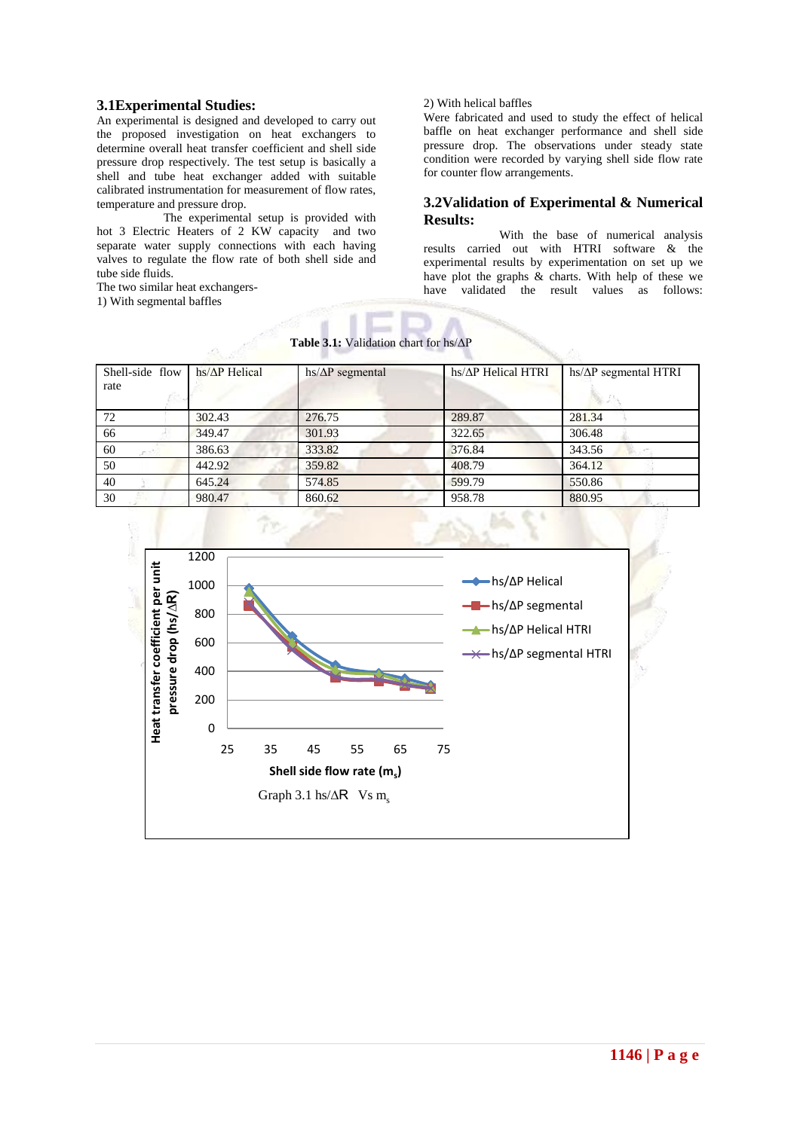### **3.1Experimental Studies:**

An experimental is designed and developed to carry out the proposed investigation on heat exchangers to determine overall heat transfer coefficient and shell side pressure drop respectively. The test setup is basically a shell and tube heat exchanger added with suitable calibrated instrumentation for measurement of flow rates, temperature and pressure drop.

 The experimental setup is provided with hot 3 Electric Heaters of 2 KW capacity and two separate water supply connections with each having valves to regulate the flow rate of both shell side and tube side fluids.

The two similar heat exchangers-

1) With segmental baffles

#### 2) With helical baffles

Were fabricated and used to study the effect of helical baffle on heat exchanger performance and shell side pressure drop. The observations under steady state condition were recorded by varying shell side flow rate for counter flow arrangements.

### **3.2Validation of Experimental & Numerical Results:**

 With the base of numerical analysis results carried out with HTRI software & the experimental results by experimentation on set up we have plot the graphs & charts. With help of these we have validated the result values as follows:

| Shell-side flow<br>rate | $hs/\Delta P$ Helical | $hs/\Delta P$ segmental | hs/ $\Delta$ P Helical HTRI | $hs/\Delta P$ segmental HTRI |
|-------------------------|-----------------------|-------------------------|-----------------------------|------------------------------|
| 72                      | 302.43                | 276.75                  | 289.87                      | 281.34                       |
| 66                      | 349.47                | 301.93                  | 322.65                      | 306.48                       |
| 60                      | 386.63                | 333.82                  | 376.84                      | 343.56                       |
| 50                      | 442.92                | 359.82                  | 408.79                      | 364.12                       |
| 40                      | 645.24                | 574.85                  | 599.79                      | 550.86                       |
| 30                      | 980.47                | 860.62                  | 958.78                      | 880.95                       |



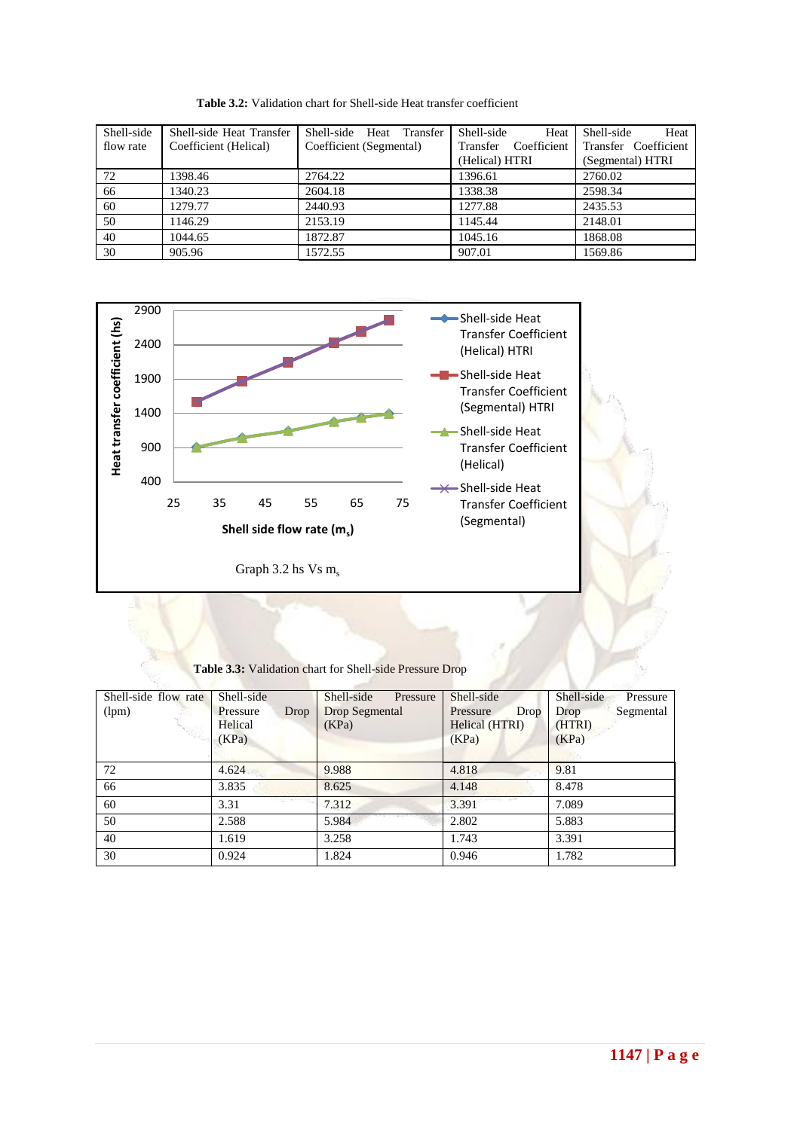| Shell-side<br>flow rate | Shell-side Heat Transfer<br>Coefficient (Helical) | Shell-side Heat Transfer<br>Coefficient (Segmental) | Shell-side<br>Heat<br>Coefficient<br>Transfer<br>(Helical) HTRI | Shell-side<br>Heat<br>Transfer Coefficient<br>(Segmental) HTRI |
|-------------------------|---------------------------------------------------|-----------------------------------------------------|-----------------------------------------------------------------|----------------------------------------------------------------|
| 72                      | 1398.46                                           | 2764.22                                             | 1396.61                                                         | 2760.02                                                        |
| 66                      | 1340.23                                           | 2604.18                                             | 1338.38                                                         | 2598.34                                                        |
| 60                      | 1279.77                                           | 2440.93                                             | 1277.88                                                         | 2435.53                                                        |
| 50                      | 1146.29                                           | 2153.19                                             | 1145.44                                                         | 2148.01                                                        |
| 40                      | 1044.65                                           | 1872.87                                             | 1045.16                                                         | 1868.08                                                        |
| 30                      | 905.96                                            | 1572.55                                             | 907.01                                                          | 1569.86                                                        |

**Table 3.2:** Validation chart for Shell-side Heat transfer coefficient



**Table 3.3:** Validation chart for Shell-side Pressure Drop

| Shell-side flow rate<br>(lpm) | Shell-side<br>Pressure<br>Drop<br>Helical<br>(KPa) | Shell-side<br>Pressure<br>Drop Segmental<br>(KPa) | Shell-side<br>Drop<br>Pressure<br>Helical (HTRI)<br>(KPa) | Shell-side<br>Pressure<br>Segmental<br>Drop<br>(HTRI)<br>(KPa) |
|-------------------------------|----------------------------------------------------|---------------------------------------------------|-----------------------------------------------------------|----------------------------------------------------------------|
| 72                            | 4.624                                              | 9.988                                             | 4.818                                                     | 9.81                                                           |
| 66                            | 3.835                                              | 8.625                                             | 4.148                                                     | 8.478                                                          |
| 60                            | 3.31                                               | 7.312                                             | 3.391                                                     | 7.089                                                          |
| 50                            | 2.588                                              | 5.984                                             | 2.802                                                     | 5.883                                                          |
| 40                            | 1.619                                              | 3.258                                             | 1.743                                                     | 3.391                                                          |
| 30                            | 0.924                                              | 1.824                                             | 0.946                                                     | 1.782                                                          |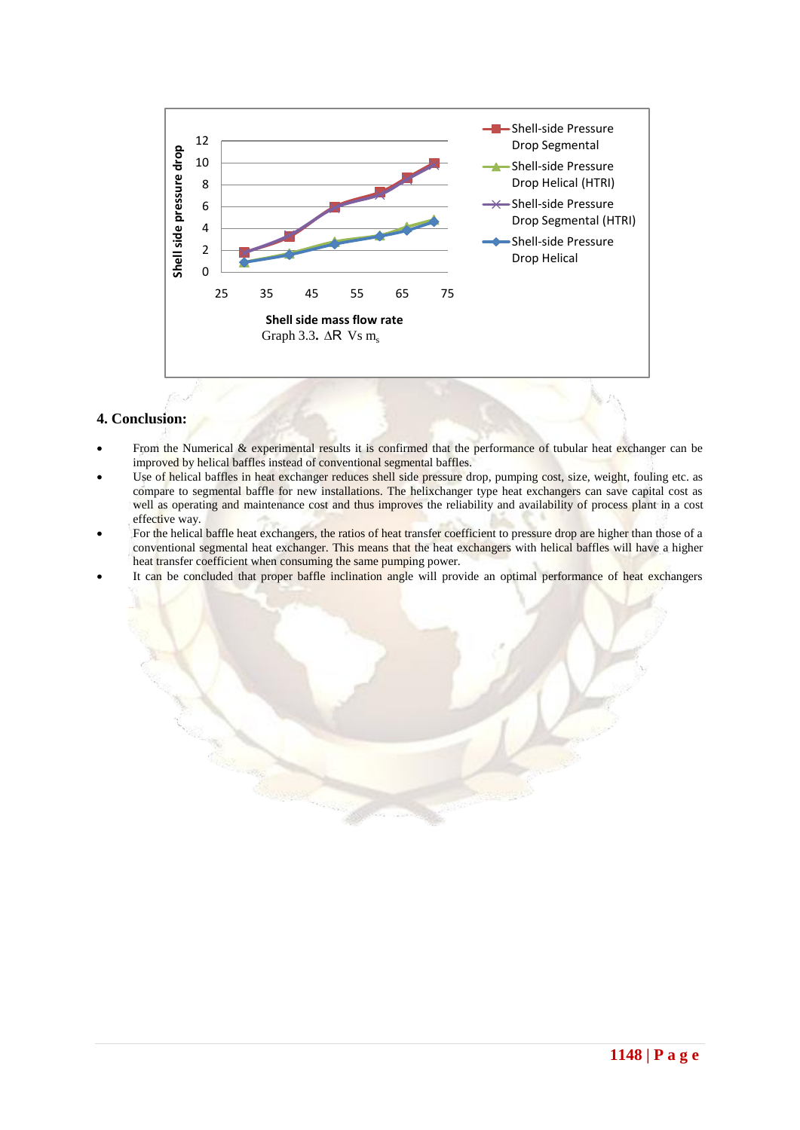

# **4. Conclusion:**

- From the Numerical  $&$  experimental results it is confirmed that the performance of tubular heat exchanger can be improved by helical baffles instead of conventional segmental baffles.
- Use of helical baffles in heat exchanger reduces shell side pressure drop, pumping cost, size, weight, fouling etc. as compare to segmental baffle for new installations. The helixchanger type heat exchangers can save capital cost as well as operating and maintenance cost and thus improves the reliability and availability of process plant in a cost effective way.
- For the helical baffle heat exchangers, the ratios of heat transfer coefficient to pressure drop are higher than those of a conventional segmental heat exchanger. This means that the heat exchangers with helical baffles will have a higher heat transfer coefficient when consuming the same pumping power.
- It can be concluded that proper baffle inclination angle will provide an optimal performance of heat exchangers